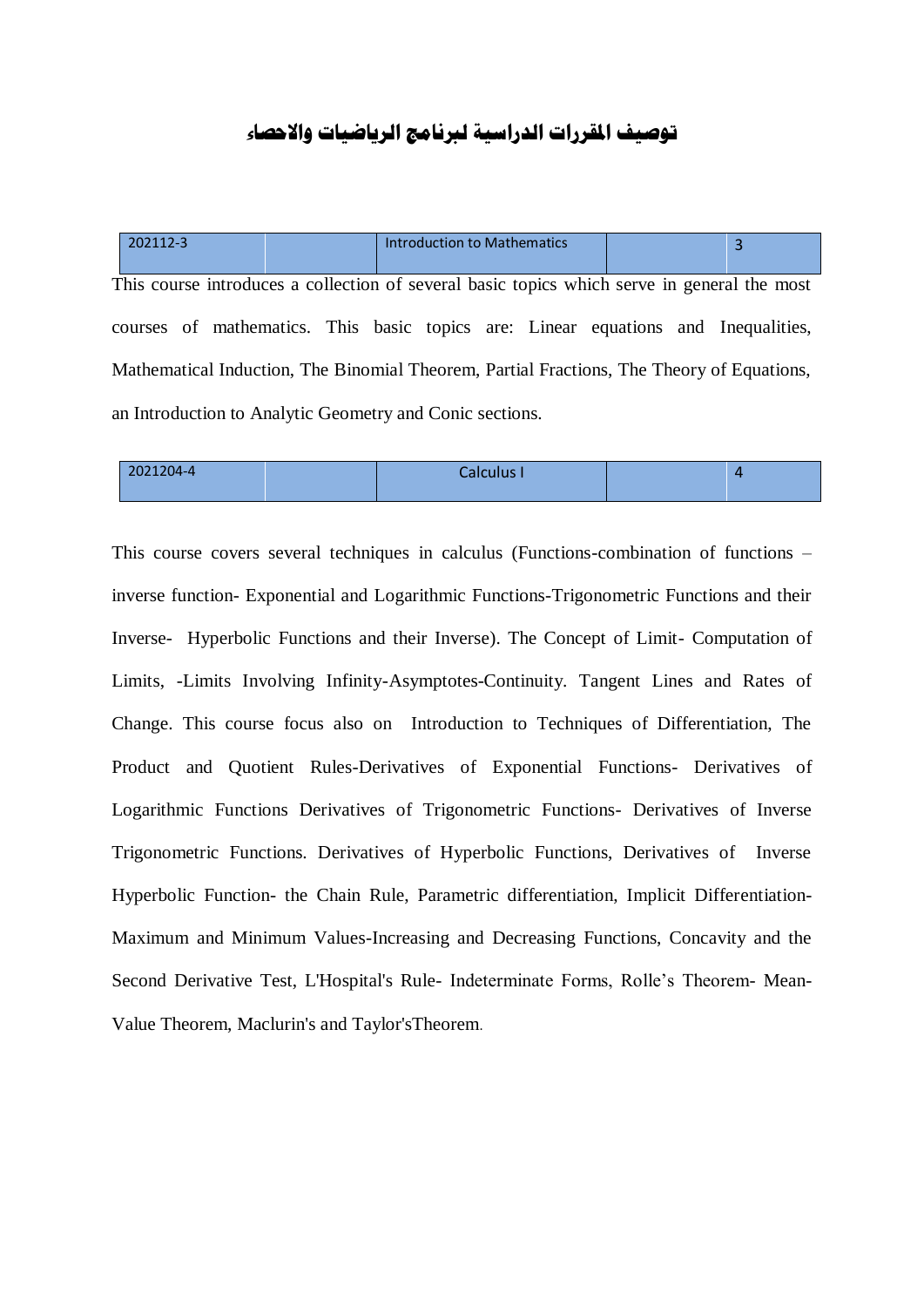## **توصيف املقررات الدراسية لربنامج الرياضيات واالحصاء**

| 202112-3                                                                                    | <b>Introduction to Mathematics</b> |  |  |  |  |  |  |  |
|---------------------------------------------------------------------------------------------|------------------------------------|--|--|--|--|--|--|--|
| This course introduces a collection of several basic topics which serve in general the most |                                    |  |  |  |  |  |  |  |
| courses of mathematics. This basic topics are: Linear equations and Inequalities,           |                                    |  |  |  |  |  |  |  |
| Mathematical Induction, The Binomial Theorem, Partial Fractions, The Theory of Equations,   |                                    |  |  |  |  |  |  |  |
| an Introduction to Analytic Geometry and Conic sections.                                    |                                    |  |  |  |  |  |  |  |

| 2021204-4 | Calculus I |  |
|-----------|------------|--|
|           |            |  |

This course covers several techniques in calculus (Functions-combination of functions – inverse function- Exponential and Logarithmic Functions-Trigonometric Functions and their Inverse- Hyperbolic Functions and their Inverse). The Concept of Limit- Computation of Limits, -Limits Involving Infinity-Asymptotes-Continuity. Tangent Lines and Rates of Change. This course focus also on Introduction to Techniques of Differentiation, The Product and Quotient Rules-Derivatives of Exponential Functions- Derivatives of Logarithmic Functions Derivatives of Trigonometric Functions- Derivatives of Inverse Trigonometric Functions. Derivatives of Hyperbolic Functions, Derivatives of Inverse Hyperbolic Function- the Chain Rule, Parametric differentiation, Implicit Differentiation-Maximum and Minimum Values-Increasing and Decreasing Functions, Concavity and the Second Derivative Test, L'Hospital's Rule- Indeterminate Forms, Rolle's Theorem- Mean-Value Theorem, Maclurin's and Taylor'sTheorem.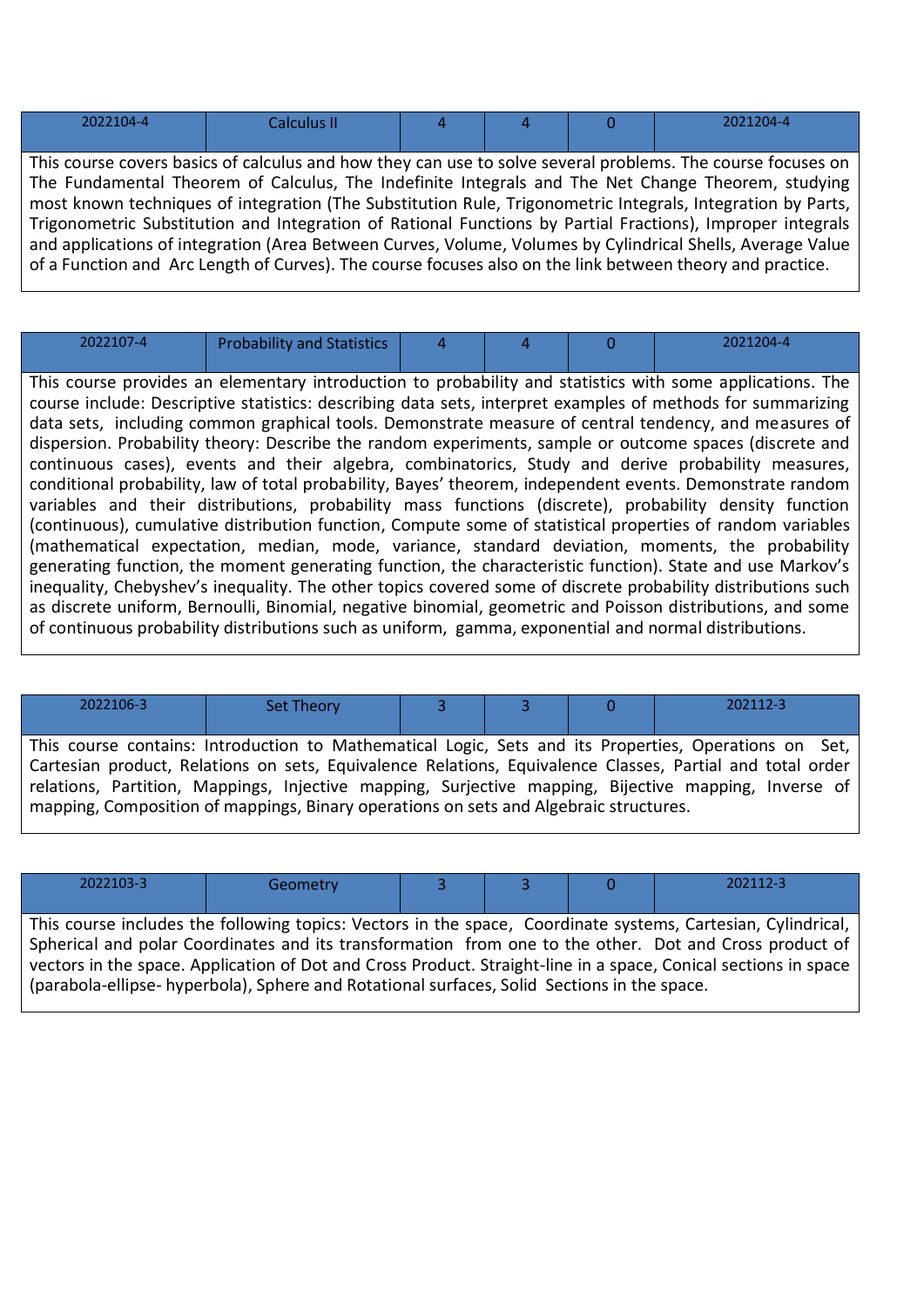| $\begin{array}{c} \n\mathbf{a} \cdot \mathbf{a} \cdot \mathbf{a} \cdot \mathbf{a} \cdot \mathbf{a} \cdot \mathbf{a} \cdot \mathbf{a} \cdot \mathbf{a} \cdot \mathbf{a} \cdot \mathbf{a} \cdot \mathbf{a} \cdot \mathbf{a} \cdot \mathbf{a} \cdot \mathbf{a} \cdot \mathbf{a} \cdot \mathbf{a} \cdot \mathbf{a} \cdot \mathbf{a} \cdot \mathbf{a} \cdot \mathbf{a} \cdot \mathbf{a} \cdot \mathbf{a} \cdot \mathbf{a} \cdot \mathbf{a} \cdot \mathbf{a} \cdot \mathbf{a} \cdot \mathbf$<br>- 17 - A | <b>Policial</b><br>____ |  |  |  | $\bigcap_{\Delta}$ 21204-4 |
|----------------------------------------------------------------------------------------------------------------------------------------------------------------------------------------------------------------------------------------------------------------------------------------------------------------------------------------------------------------------------------------------------------------------------------------------------------------------------------------------------|-------------------------|--|--|--|----------------------------|
|----------------------------------------------------------------------------------------------------------------------------------------------------------------------------------------------------------------------------------------------------------------------------------------------------------------------------------------------------------------------------------------------------------------------------------------------------------------------------------------------------|-------------------------|--|--|--|----------------------------|

This course covers basics of calculus and how they can use to solve several problems. The course focuses on The Fundamental Theorem of Calculus, The Indefinite Integrals and The Net Change Theorem, studying most known techniques of integration (The Substitution Rule, Trigonometric Integrals, Integration by Parts, Trigonometric Substitution and Integration of Rational Functions by Partial Fractions), Improper integrals and applications of integration (Area Between Curves, Volume, Volumes by Cylindrical Shells, Average Value of a Function and Arc Length of Curves). The course focuses also on the link between theory and practice.

| 2022107-4 | <b>Probability and Statistics</b> |  | 2021204-4 |
|-----------|-----------------------------------|--|-----------|
|           |                                   |  |           |

This course provides an elementary introduction to probability and statistics with some applications. The course include: Descriptive statistics: describing data sets, interpret examples of methods for summarizing data sets, including common graphical tools. Demonstrate measure of central tendency, and measures of dispersion. Probability theory: Describe the random experiments, sample or outcome spaces (discrete and continuous cases), events and their algebra, combinatorics, Study and derive probability measures, conditional probability, law of total probability, Bayes' theorem, independent events. Demonstrate random variables and their distributions, probability mass functions (discrete), probability density function (continuous), cumulative distribution function, Compute some of statistical properties of random variables (mathematical expectation, median, mode, variance, standard deviation, moments, the probability generating function, the moment generating function, the characteristic function). State and use Markov's inequality, Chebyshev's inequality. The other topics covered some of discrete probability distributions such as discrete uniform, Bernoulli, Binomial, negative binomial, geometric and Poisson distributions, and some of continuous probability distributions such as uniform, gamma, exponential and normal distributions.

| 2022106-3                                                                                                                                                                                     | <b>Set Theory</b> |  |  |  | 202112-3 |  |  |
|-----------------------------------------------------------------------------------------------------------------------------------------------------------------------------------------------|-------------------|--|--|--|----------|--|--|
|                                                                                                                                                                                               |                   |  |  |  |          |  |  |
| This course contains: Introduction to Mathematical Logic, Sets and its Properties, Operations on Set,                                                                                         |                   |  |  |  |          |  |  |
| Cartesian product, Relations on sets, Equivalence Relations, Equivalence Classes, Partial and total order                                                                                     |                   |  |  |  |          |  |  |
| relations, Partition, Mappings, Injective mapping, Surjective mapping, Bijective mapping, Inverse of<br>mapping, Composition of mappings, Binary operations on sets and Algebraic structures. |                   |  |  |  |          |  |  |

| 2022103-3                                                                                                       | Geometry |  |  |  | 202112-3                                                                                               |  |  |
|-----------------------------------------------------------------------------------------------------------------|----------|--|--|--|--------------------------------------------------------------------------------------------------------|--|--|
|                                                                                                                 |          |  |  |  |                                                                                                        |  |  |
| This course includes the following topics: Vectors in the space, Coordinate systems, Cartesian, Cylindrical,    |          |  |  |  |                                                                                                        |  |  |
|                                                                                                                 |          |  |  |  | Spherical and polar Coordinates and its transformation from one to the other. Dot and Cross product of |  |  |
| vectors in the space. Application of Dot and Cross Product. Straight-line in a space, Conical sections in space |          |  |  |  |                                                                                                        |  |  |
| (parabola-ellipse- hyperbola), Sphere and Rotational surfaces, Solid Sections in the space.                     |          |  |  |  |                                                                                                        |  |  |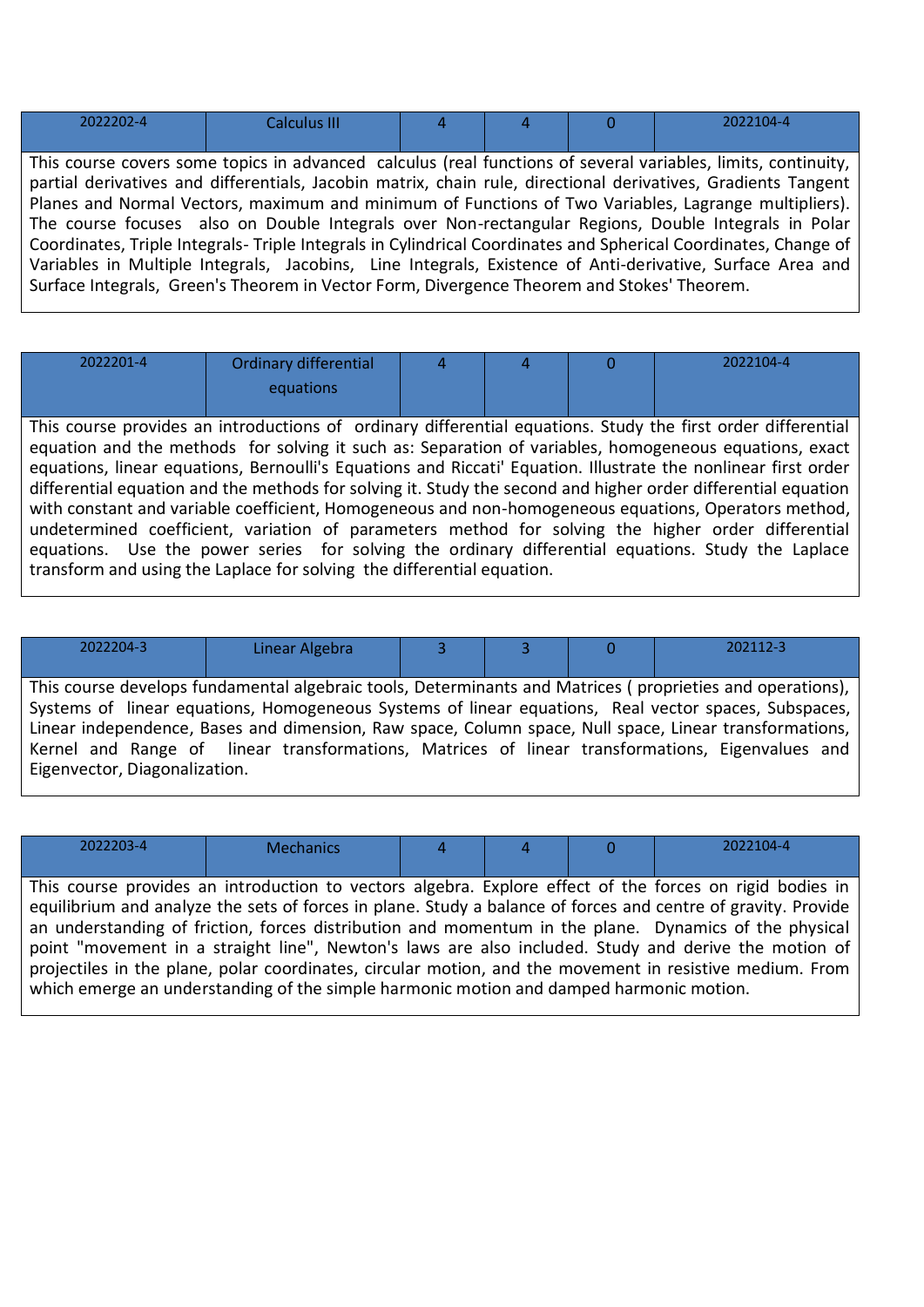| 2022202-4                                                                                                      | Calculus III                                                                                                  |  |  |  | 2022104-4                                                                                                     |  |  |
|----------------------------------------------------------------------------------------------------------------|---------------------------------------------------------------------------------------------------------------|--|--|--|---------------------------------------------------------------------------------------------------------------|--|--|
|                                                                                                                |                                                                                                               |  |  |  |                                                                                                               |  |  |
|                                                                                                                | This course covers some topics in advanced calculus (real functions of several variables, limits, continuity, |  |  |  |                                                                                                               |  |  |
|                                                                                                                |                                                                                                               |  |  |  | partial derivatives and differentials, Jacobin matrix, chain rule, directional derivatives, Gradients Tangent |  |  |
|                                                                                                                |                                                                                                               |  |  |  | Planes and Normal Vectors, maximum and minimum of Functions of Two Variables, Lagrange multipliers).          |  |  |
| The course focuses also on Double Integrals over Non-rectangular Regions, Double Integrals in Polar            |                                                                                                               |  |  |  |                                                                                                               |  |  |
| Coordinates, Triple Integrals-Triple Integrals in Cylindrical Coordinates and Spherical Coordinates, Change of |                                                                                                               |  |  |  |                                                                                                               |  |  |
|                                                                                                                |                                                                                                               |  |  |  | Variables in Multiple Integrals, Jacobins, Line Integrals, Existence of Anti-derivative, Surface Area and     |  |  |

Surface Integrals, Green's Theorem in Vector Form, Divergence Theorem and Stokes' Theorem.

2022201-4 Ordinary differential equations  $4 \t 4 \t 0 \t 2022104-4$ This course provides an introductions of ordinary differential equations. Study the first order differential equation and the methods for solving it such as: Separation of variables, homogeneous equations, exact equations, linear equations, Bernoulli's Equations and Riccati' Equation. Illustrate the nonlinear first order differential equation and the methods for solving it. Study the second and higher order differential equation with constant and variable coefficient, Homogeneous and non-homogeneous equations, Operators method, undetermined coefficient, variation of parameters method for solving the higher order differential equations. Use the power series for solving the ordinary differential equations. Study the Laplace transform and using the Laplace for solving the differential equation.

| 2022204-3                                                                                              | Linear Algebra                                                                                            |  |  |  | 202112-3                                                                                             |  |  |
|--------------------------------------------------------------------------------------------------------|-----------------------------------------------------------------------------------------------------------|--|--|--|------------------------------------------------------------------------------------------------------|--|--|
|                                                                                                        |                                                                                                           |  |  |  |                                                                                                      |  |  |
|                                                                                                        | This course develops fundamental algebraic tools, Determinants and Matrices (proprieties and operations), |  |  |  |                                                                                                      |  |  |
|                                                                                                        |                                                                                                           |  |  |  | Systems of linear equations, Homogeneous Systems of linear equations, Real vector spaces, Subspaces, |  |  |
| Linear independence, Bases and dimension, Raw space, Column space, Null space, Linear transformations, |                                                                                                           |  |  |  |                                                                                                      |  |  |
| Kernel and Range of linear transformations, Matrices of linear transformations, Eigenvalues and        |                                                                                                           |  |  |  |                                                                                                      |  |  |
| Eigenvector, Diagonalization.                                                                          |                                                                                                           |  |  |  |                                                                                                      |  |  |

| 2022203-4                                                                                                | <b>Mechanics</b> |  |  |  | 2022104-4                                                                                                     |  |  |
|----------------------------------------------------------------------------------------------------------|------------------|--|--|--|---------------------------------------------------------------------------------------------------------------|--|--|
|                                                                                                          |                  |  |  |  |                                                                                                               |  |  |
| This course provides an introduction to vectors algebra. Explore effect of the forces on rigid bodies in |                  |  |  |  |                                                                                                               |  |  |
|                                                                                                          |                  |  |  |  | equilibrium and analyze the sets of forces in plane. Study a balance of forces and centre of gravity. Provide |  |  |
|                                                                                                          |                  |  |  |  | an understanding of friction, forces distribution and momentum in the plane. Dynamics of the physical         |  |  |
| point "movement in a straight line", Newton's laws are also included. Study and derive the motion of     |                  |  |  |  |                                                                                                               |  |  |
| projectiles in the plane, polar coordinates, circular motion, and the movement in resistive medium. From |                  |  |  |  |                                                                                                               |  |  |
| which emerge an understanding of the simple harmonic motion and damped harmonic motion.                  |                  |  |  |  |                                                                                                               |  |  |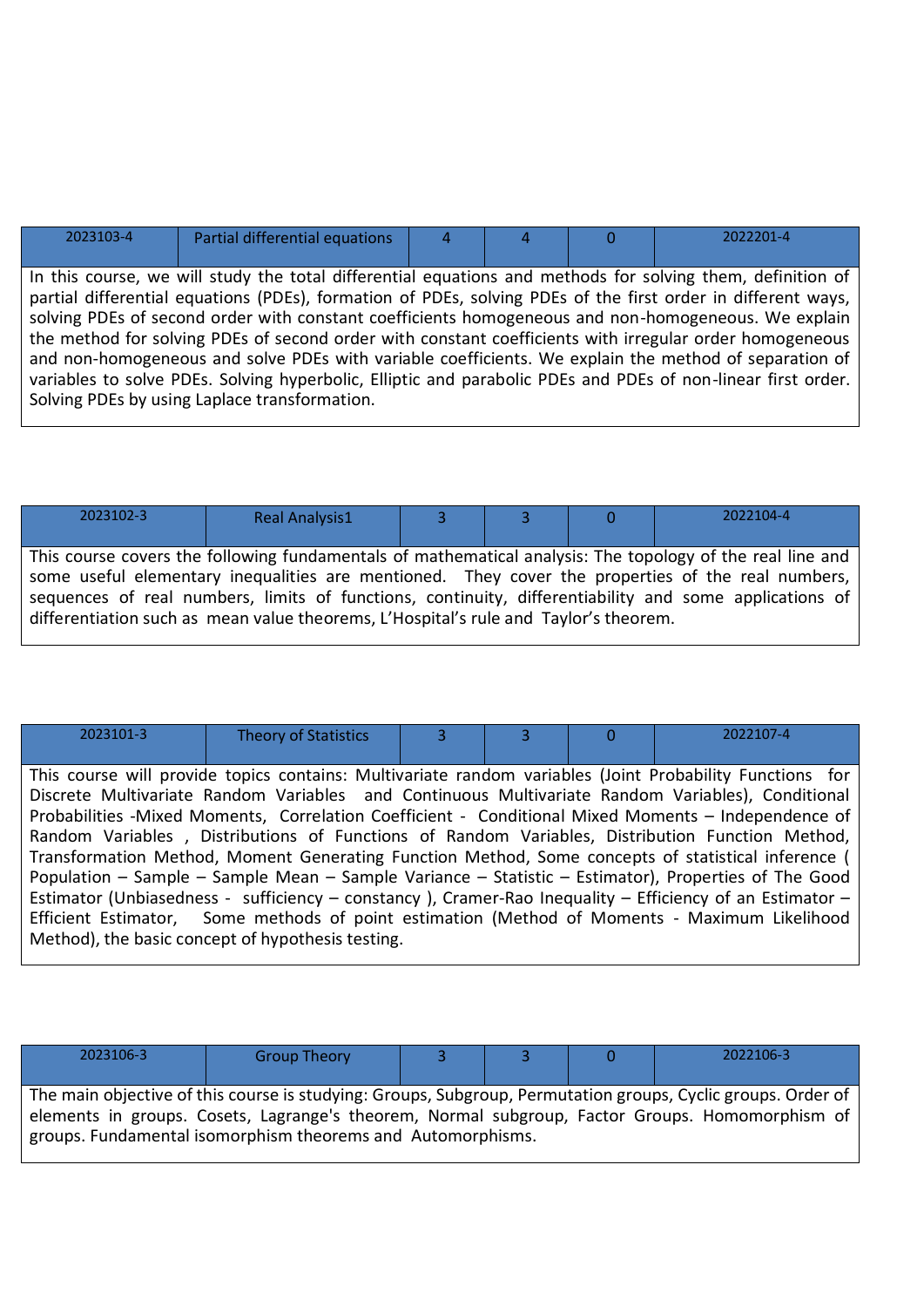| 2023103-4                                                                                                    | Partial differential equations                                                                               |  |  |  | 2022201-4 |
|--------------------------------------------------------------------------------------------------------------|--------------------------------------------------------------------------------------------------------------|--|--|--|-----------|
|                                                                                                              |                                                                                                              |  |  |  |           |
|                                                                                                              | In this course, we will study the total differential equations and methods for solving them, definition of   |  |  |  |           |
|                                                                                                              | partial differential equations (PDEs), formation of PDEs, solving PDEs of the first order in different ways, |  |  |  |           |
|                                                                                                              | solving PDEs of second order with constant coefficients homogeneous and non-homogeneous. We explain          |  |  |  |           |
|                                                                                                              | the method for solving PDEs of second order with constant coefficients with irregular order homogeneous      |  |  |  |           |
| and non-homogeneous and solve PDEs with variable coefficients. We explain the method of separation of        |                                                                                                              |  |  |  |           |
| variables to solve PDEs. Solving hyperbolic, Elliptic and parabolic PDEs and PDEs of non-linear first order. |                                                                                                              |  |  |  |           |
| Solving PDEs by using Laplace transformation.                                                                |                                                                                                              |  |  |  |           |

| 2023102-3                                                                                                 | <b>Real Analysis1</b> |  |  |  | 2022104-4 |  |  |
|-----------------------------------------------------------------------------------------------------------|-----------------------|--|--|--|-----------|--|--|
|                                                                                                           |                       |  |  |  |           |  |  |
| This course covers the following fundamentals of mathematical analysis: The topology of the real line and |                       |  |  |  |           |  |  |
| some useful elementary inequalities are mentioned. They cover the properties of the real numbers,         |                       |  |  |  |           |  |  |
| sequences of real numbers, limits of functions, continuity, differentiability and some applications of    |                       |  |  |  |           |  |  |
| differentiation such as mean value theorems, L'Hospital's rule and Taylor's theorem.                      |                       |  |  |  |           |  |  |
|                                                                                                           |                       |  |  |  |           |  |  |

| 2023101-3                                                                                     | <b>Theory of Statistics</b>                                                                              |  |  | O | 2022107-4                                                                                                |  |  |
|-----------------------------------------------------------------------------------------------|----------------------------------------------------------------------------------------------------------|--|--|---|----------------------------------------------------------------------------------------------------------|--|--|
|                                                                                               |                                                                                                          |  |  |   |                                                                                                          |  |  |
|                                                                                               |                                                                                                          |  |  |   | This course will provide topics contains: Multivariate random variables (Joint Probability Functions for |  |  |
|                                                                                               |                                                                                                          |  |  |   | Discrete Multivariate Random Variables and Continuous Multivariate Random Variables), Conditional        |  |  |
|                                                                                               |                                                                                                          |  |  |   | Probabilities -Mixed Moments, Correlation Coefficient - Conditional Mixed Moments - Independence of      |  |  |
|                                                                                               |                                                                                                          |  |  |   | Random Variables, Distributions of Functions of Random Variables, Distribution Function Method,          |  |  |
|                                                                                               |                                                                                                          |  |  |   | Transformation Method, Moment Generating Function Method, Some concepts of statistical inference (       |  |  |
|                                                                                               |                                                                                                          |  |  |   | Population - Sample - Sample Mean - Sample Variance - Statistic - Estimator), Properties of The Good     |  |  |
|                                                                                               | Estimator (Unbiasedness - sufficiency - constancy), Cramer-Rao Inequality - Efficiency of an Estimator - |  |  |   |                                                                                                          |  |  |
| Efficient Estimator, Some methods of point estimation (Method of Moments - Maximum Likelihood |                                                                                                          |  |  |   |                                                                                                          |  |  |
| Method), the basic concept of hypothesis testing.                                             |                                                                                                          |  |  |   |                                                                                                          |  |  |
|                                                                                               |                                                                                                          |  |  |   |                                                                                                          |  |  |

| 2023106-3 | <b>Group Theory</b>                                         |  | 2022106-3                                                                                                                                                                                                       |
|-----------|-------------------------------------------------------------|--|-----------------------------------------------------------------------------------------------------------------------------------------------------------------------------------------------------------------|
|           | groups. Fundamental isomorphism theorems and Automorphisms. |  | The main objective of this course is studying: Groups, Subgroup, Permutation groups, Cyclic groups. Order of<br>elements in groups. Cosets, Lagrange's theorem, Normal subgroup, Factor Groups. Homomorphism of |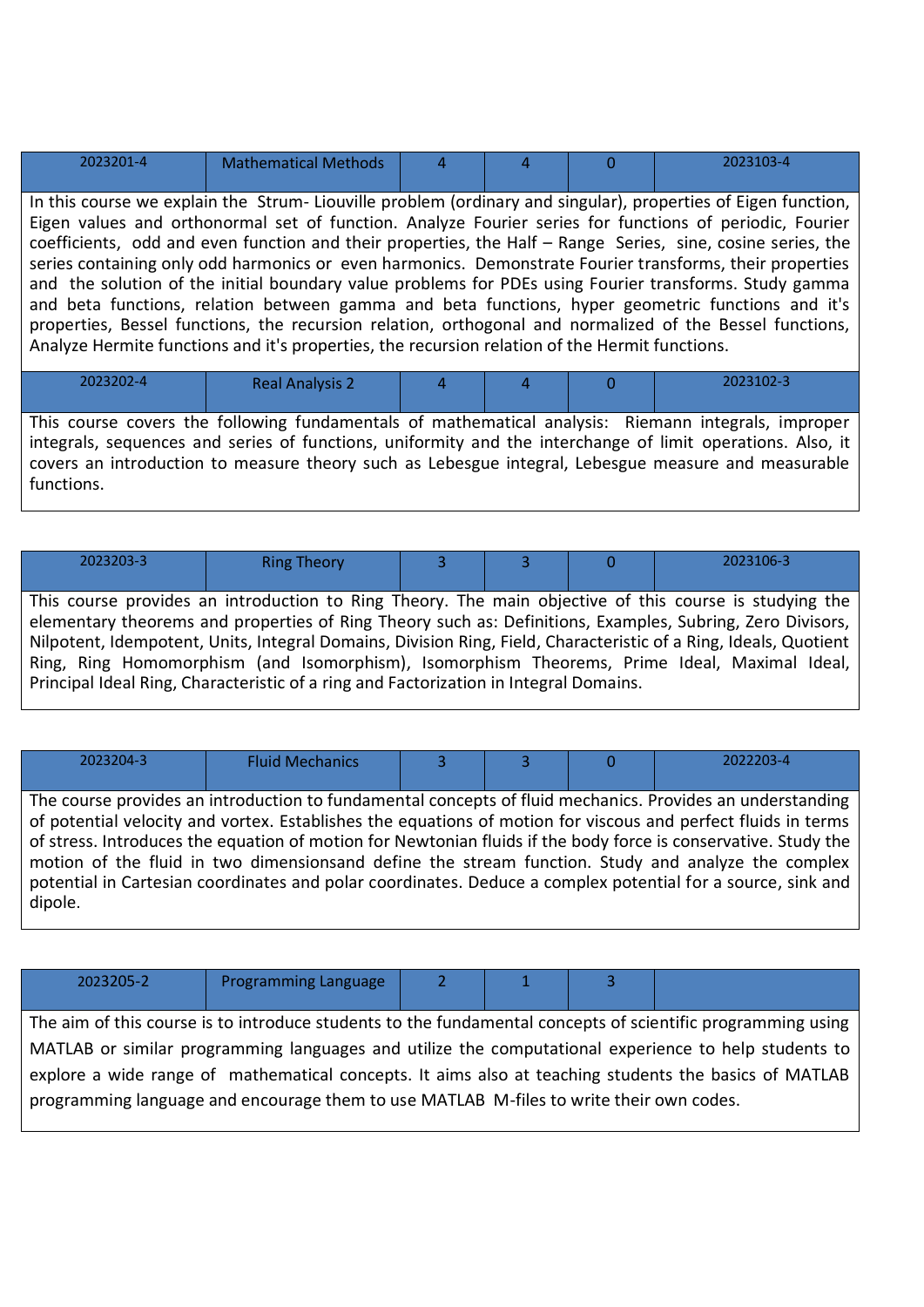| 2023201-4                                                                                                    | <b>Mathematical Methods</b> |  |  |  | 2023103-4 |  |  |
|--------------------------------------------------------------------------------------------------------------|-----------------------------|--|--|--|-----------|--|--|
|                                                                                                              |                             |  |  |  |           |  |  |
| In this course we explain the Strum-Liouville problem (ordinary and singular), properties of Eigen function, |                             |  |  |  |           |  |  |

Eigen values and orthonormal set of function. Analyze Fourier series for functions of periodic, Fourier coefficients, odd and even function and their properties, the Half – Range Series, sine, cosine series, the series containing only odd harmonics or even harmonics. Demonstrate Fourier transforms, their properties and the solution of the initial boundary value problems for PDEs using Fourier transforms. Study gamma and beta functions, relation between gamma and beta functions, hyper geometric functions and it's properties, Bessel functions, the recursion relation, orthogonal and normalized of the Bessel functions, Analyze Hermite functions and it's properties, the recursion relation of the Hermit functions.

| $-1$<br>. . | .                      | . . | $\sim$ $\sim$ | $ \cdot$ | . .       |
|-------------|------------------------|-----|---------------|----------|-----------|
| 2023202-4   | <b>Real Analysis 2</b> |     |               |          | 2023102-3 |

This course covers the following fundamentals of mathematical analysis: Riemann integrals, improper integrals, sequences and series of functions, uniformity and the interchange of limit operations. Also, it covers an introduction to measure theory such as Lebesgue integral, Lebesgue measure and measurable functions.

| 2023203-3                                                                                                        | <b>Ring Theory</b>                                                                    |  |  |  | 2023106-3 |  |  |
|------------------------------------------------------------------------------------------------------------------|---------------------------------------------------------------------------------------|--|--|--|-----------|--|--|
|                                                                                                                  |                                                                                       |  |  |  |           |  |  |
| This course provides an introduction to Ring Theory. The main objective of this course is studying the           |                                                                                       |  |  |  |           |  |  |
| elementary theorems and properties of Ring Theory such as: Definitions, Examples, Subring, Zero Divisors,        |                                                                                       |  |  |  |           |  |  |
| Nilpotent, Idempotent, Units, Integral Domains, Division Ring, Field, Characteristic of a Ring, Ideals, Quotient |                                                                                       |  |  |  |           |  |  |
| Ring, Ring Homomorphism (and Isomorphism), Isomorphism Theorems, Prime Ideal, Maximal Ideal,                     |                                                                                       |  |  |  |           |  |  |
|                                                                                                                  | Principal Ideal Ring, Characteristic of a ring and Factorization in Integral Domains. |  |  |  |           |  |  |

| 2023204-3 | <b>Fluid Mechanics</b> |  | O | 2022203-4                                                                                                                                                                                                                                                                                                                                                                                                                                                                                                                                                         |
|-----------|------------------------|--|---|-------------------------------------------------------------------------------------------------------------------------------------------------------------------------------------------------------------------------------------------------------------------------------------------------------------------------------------------------------------------------------------------------------------------------------------------------------------------------------------------------------------------------------------------------------------------|
| dipole.   |                        |  |   | The course provides an introduction to fundamental concepts of fluid mechanics. Provides an understanding<br>of potential velocity and vortex. Establishes the equations of motion for viscous and perfect fluids in terms<br>of stress. Introduces the equation of motion for Newtonian fluids if the body force is conservative. Study the<br>motion of the fluid in two dimensionsand define the stream function. Study and analyze the complex<br>potential in Cartesian coordinates and polar coordinates. Deduce a complex potential for a source, sink and |

| 2023205-2                                                                                                   | <b>Programming Language</b> |  |  |  |  |  |  |  |
|-------------------------------------------------------------------------------------------------------------|-----------------------------|--|--|--|--|--|--|--|
|                                                                                                             |                             |  |  |  |  |  |  |  |
| The aim of this course is to introduce students to the fundamental concepts of scientific programming using |                             |  |  |  |  |  |  |  |
| MATLAB or similar programming languages and utilize the computational experience to help students to        |                             |  |  |  |  |  |  |  |
| explore a wide range of mathematical concepts. It aims also at teaching students the basics of MATLAB       |                             |  |  |  |  |  |  |  |
| programming language and encourage them to use MATLAB M-files to write their own codes.                     |                             |  |  |  |  |  |  |  |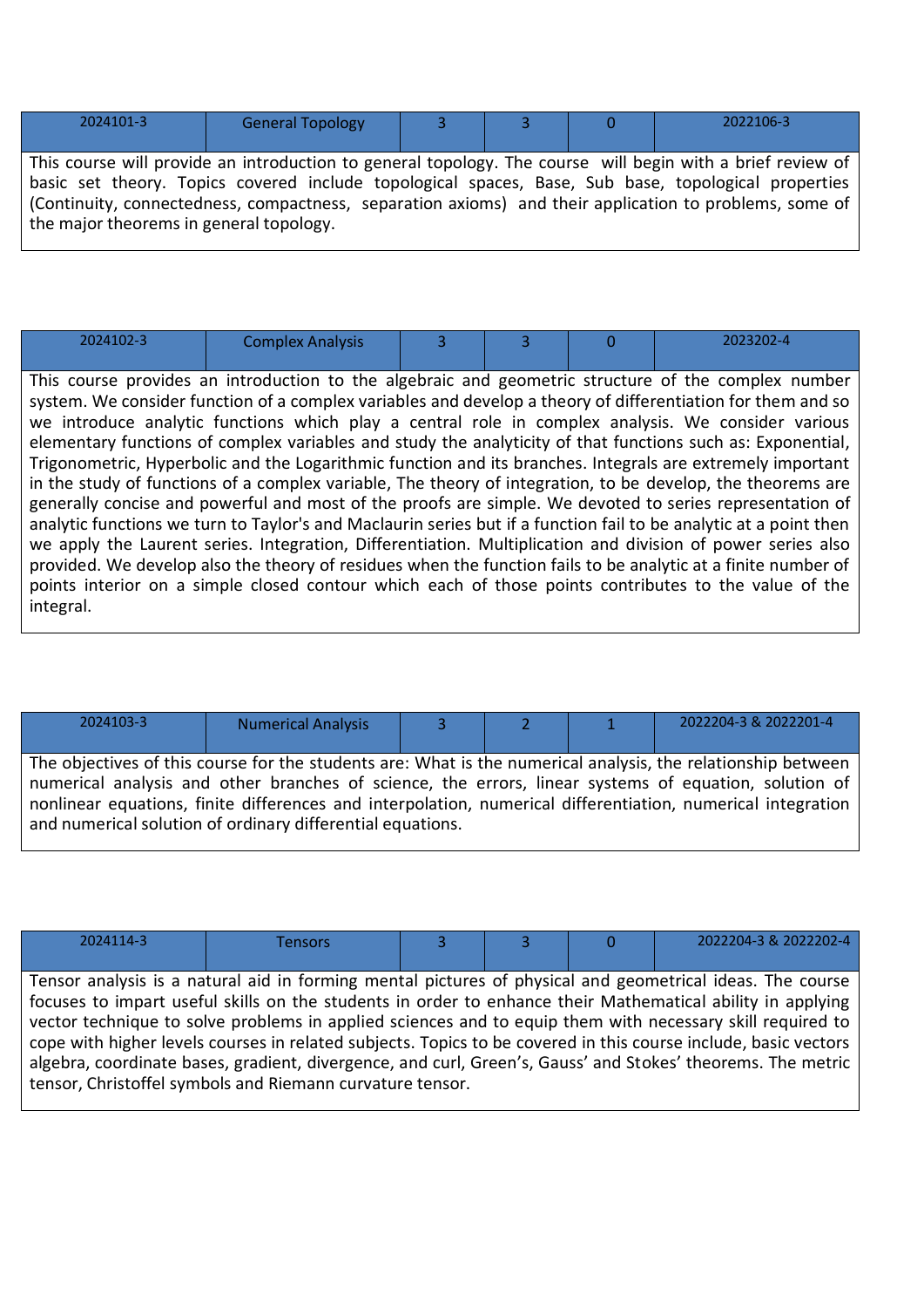| 2024101-3 | <b>General Topology</b> |  | 2022106-3                                                                                                                                                                                                              |
|-----------|-------------------------|--|------------------------------------------------------------------------------------------------------------------------------------------------------------------------------------------------------------------------|
|           |                         |  | This course will provide an introduction to general topology. The course will begin with a brief review of<br>nkaats ook kikaasta πeestas oo aada taal da maaalaataal oodaan maaan ∧ ku kaast maaalaataal oodaa amtaan |

basic set theory. Topics covered include topological spaces, Base, Sub base, topological properties (Continuity, connectedness, compactness, separation axioms) and their application to problems, some of the major theorems in general topology.

| 2024102-3 | <b>Complex Analysis</b> |  | $2202 - 4$ |
|-----------|-------------------------|--|------------|

This course provides an introduction to the algebraic and geometric structure of the complex number system. We consider function of a complex variables and develop a theory of differentiation for them and so we introduce analytic functions which play a central role in complex analysis. We consider various elementary functions of complex variables and study the analyticity of that functions such as: Exponential, Trigonometric, Hyperbolic and the Logarithmic function and its branches. Integrals are extremely important in the study of functions of a complex variable, The theory of integration, to be develop, the theorems are generally concise and powerful and most of the proofs are simple. We devoted to series representation of analytic functions we turn to Taylor's and Maclaurin series but if a function fail to be analytic at a point then we apply the Laurent series. Integration, Differentiation. Multiplication and division of power series also provided. We develop also the theory of residues when the function fails to be analytic at a finite number of points interior on a simple closed contour which each of those points contributes to the value of the integral.

| 2024103-3 | <b>Numerical Analysis</b>                                  |  | 2022204-3 & 2022201-4                                                                                                                                                                                                                                                                                                                |
|-----------|------------------------------------------------------------|--|--------------------------------------------------------------------------------------------------------------------------------------------------------------------------------------------------------------------------------------------------------------------------------------------------------------------------------------|
|           |                                                            |  |                                                                                                                                                                                                                                                                                                                                      |
|           | and numerical solution of ordinary differential equations. |  | The objectives of this course for the students are: What is the numerical analysis, the relationship between<br>numerical analysis and other branches of science, the errors, linear systems of equation, solution of<br>nonlinear equations, finite differences and interpolation, numerical differentiation, numerical integration |

| 2024114-3 | ensors |  | 2022204-3 & 2022202-4 |
|-----------|--------|--|-----------------------|
|           |        |  |                       |

Tensor analysis is a natural aid in forming mental pictures of physical and geometrical ideas. The course focuses to impart useful skills on the students in order to enhance their Mathematical ability in applying vector technique to solve problems in applied sciences and to equip them with necessary skill required to cope with higher levels courses in related subjects. Topics to be covered in this course include, basic vectors algebra, coordinate bases, gradient, divergence, and curl, Green's, Gauss' and Stokes' theorems. The metric tensor, Christoffel symbols and Riemann curvature tensor.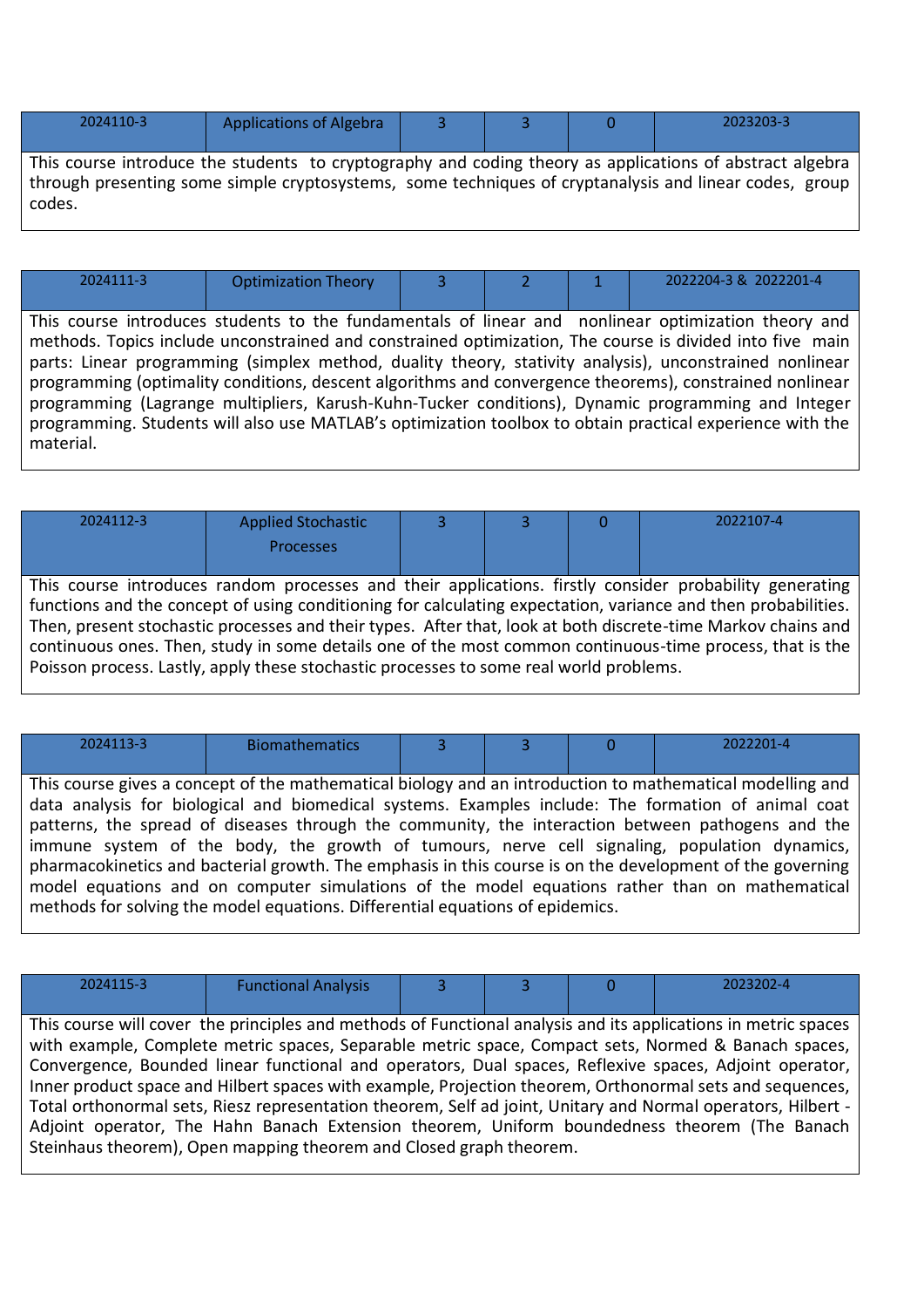| 2024110-3                                                                                                      | <b>Applications of Algebra</b> |  |  |  | 2023203-3 |  |  |  |
|----------------------------------------------------------------------------------------------------------------|--------------------------------|--|--|--|-----------|--|--|--|
| This course introduce the students to cryptography and coding theory as applications of abstract algebra       |                                |  |  |  |           |  |  |  |
| through presenting some simple cryptosystems, some techniques of cryptanalysis and linear codes, group $\vert$ |                                |  |  |  |           |  |  |  |

codes.

| 2024111-3 | <b>Optimization Theory</b> |  | 2022204-3 & 2022201-4 |
|-----------|----------------------------|--|-----------------------|

This course introduces students to the fundamentals of linear and nonlinear optimization theory and methods. Topics include unconstrained and constrained optimization, The course is divided into five main parts: Linear programming (simplex method, duality theory, stativity analysis), unconstrained nonlinear programming (optimality conditions, descent algorithms and convergence theorems), constrained nonlinear programming (Lagrange multipliers, Karush-Kuhn-Tucker conditions), Dynamic programming and Integer programming. Students will also use MATLAB's optimization toolbox to obtain practical experience with the material.

| 2024112-3                                                                                                     | <b>Applied Stochastic</b> |  |  |  | 2022107-4 |  |
|---------------------------------------------------------------------------------------------------------------|---------------------------|--|--|--|-----------|--|
|                                                                                                               | Processes                 |  |  |  |           |  |
|                                                                                                               |                           |  |  |  |           |  |
| This course introduces random processes and their applications. firstly consider probability generating       |                           |  |  |  |           |  |
| functions and the concept of using conditioning for calculating expectation, variance and then probabilities. |                           |  |  |  |           |  |
| Then, present stochastic processes and their types. After that, look at both discrete-time Markov chains and  |                           |  |  |  |           |  |
| continuous ones. Then, study in some details one of the most common continuous-time process, that is the      |                           |  |  |  |           |  |
| Poisson process. Lastly, apply these stochastic processes to some real world problems.                        |                           |  |  |  |           |  |

| 2024113-3                                                                                                 | <b>Biomathematics</b>                                                         |  |  |  | 2022201-4                                                                                                 |
|-----------------------------------------------------------------------------------------------------------|-------------------------------------------------------------------------------|--|--|--|-----------------------------------------------------------------------------------------------------------|
|                                                                                                           |                                                                               |  |  |  |                                                                                                           |
|                                                                                                           |                                                                               |  |  |  | This course gives a concept of the mathematical biology and an introduction to mathematical modelling and |
|                                                                                                           |                                                                               |  |  |  | data analysis for biological and biomedical systems. Examples include: The formation of animal coat       |
|                                                                                                           |                                                                               |  |  |  | patterns, the spread of diseases through the community, the interaction between pathogens and the         |
|                                                                                                           |                                                                               |  |  |  | immune system of the body, the growth of tumours, nerve cell signaling, population dynamics,              |
| pharmacokinetics and bacterial growth. The emphasis in this course is on the development of the governing |                                                                               |  |  |  |                                                                                                           |
|                                                                                                           |                                                                               |  |  |  | model equations and on computer simulations of the model equations rather than on mathematical            |
|                                                                                                           | methods for solving the model equations. Differential equations of epidemics. |  |  |  |                                                                                                           |

| 2024115-3                                                                                                    | <b>Functional Analysis</b>                                         |  |  |  | 2023202-4                                                                                                      |
|--------------------------------------------------------------------------------------------------------------|--------------------------------------------------------------------|--|--|--|----------------------------------------------------------------------------------------------------------------|
|                                                                                                              |                                                                    |  |  |  |                                                                                                                |
|                                                                                                              |                                                                    |  |  |  | This course will cover the principles and methods of Functional analysis and its applications in metric spaces |
|                                                                                                              |                                                                    |  |  |  | with example, Complete metric spaces, Separable metric space, Compact sets, Normed & Banach spaces,            |
|                                                                                                              |                                                                    |  |  |  | Convergence, Bounded linear functional and operators, Dual spaces, Reflexive spaces, Adjoint operator,         |
|                                                                                                              |                                                                    |  |  |  | Inner product space and Hilbert spaces with example, Projection theorem, Orthonormal sets and sequences,       |
| Total orthonormal sets, Riesz representation theorem, Self ad joint, Unitary and Normal operators, Hilbert - |                                                                    |  |  |  |                                                                                                                |
| Adjoint operator, The Hahn Banach Extension theorem, Uniform boundedness theorem (The Banach                 |                                                                    |  |  |  |                                                                                                                |
|                                                                                                              | Steinhaus theorem), Open mapping theorem and Closed graph theorem. |  |  |  |                                                                                                                |
|                                                                                                              |                                                                    |  |  |  |                                                                                                                |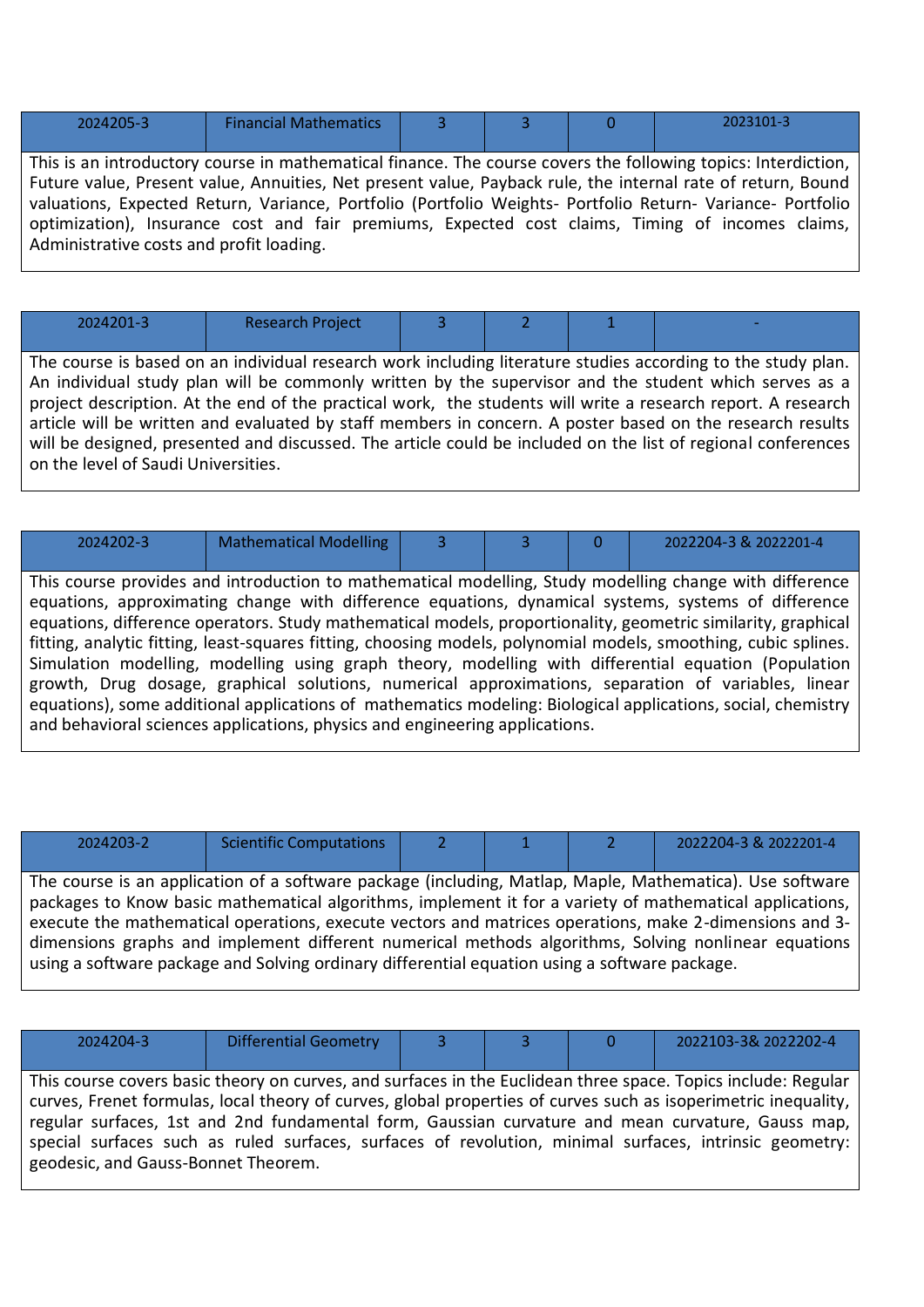| 2024205-3 | <b>Financial Mathematics</b> |  |  |
|-----------|------------------------------|--|--|
|           |                              |  |  |

This is an introductory course in mathematical finance. The course covers the following topics: Interdiction, Future value, Present value, Annuities, Net present value, Payback rule, the internal rate of return, Bound valuations, Expected Return, Variance, Portfolio (Portfolio Weights- Portfolio Return- Variance- Portfolio optimization), Insurance cost and fair premiums, Expected cost claims, Timing of incomes claims, Administrative costs and profit loading.

| 2024201-3                                                                                                    | <b>Research Project</b> |  |  |  |  |  |  |
|--------------------------------------------------------------------------------------------------------------|-------------------------|--|--|--|--|--|--|
|                                                                                                              |                         |  |  |  |  |  |  |
| The course is based on an individual research work including literature studies according to the study plan. |                         |  |  |  |  |  |  |
| An individual study plan will be commonly written by the supervisor and the student which serves as a        |                         |  |  |  |  |  |  |
| project description. At the end of the practical work, the students will write a research report. A research |                         |  |  |  |  |  |  |
| article will be written and evaluated by staff members in concern. A poster based on the research results    |                         |  |  |  |  |  |  |
| will be designed, presented and discussed. The article could be included on the list of regional conferences |                         |  |  |  |  |  |  |
| on the level of Saudi Universities.                                                                          |                         |  |  |  |  |  |  |

| 2024202-3                                                                                            | <b>Mathematical Modelling</b>                                               | 3. |  |  | 2022204-3 & 2022201-4                                                                                           |  |
|------------------------------------------------------------------------------------------------------|-----------------------------------------------------------------------------|----|--|--|-----------------------------------------------------------------------------------------------------------------|--|
|                                                                                                      |                                                                             |    |  |  |                                                                                                                 |  |
|                                                                                                      |                                                                             |    |  |  | This course provides and introduction to mathematical modelling, Study modelling change with difference         |  |
|                                                                                                      |                                                                             |    |  |  | equations, approximating change with difference equations, dynamical systems, systems of difference             |  |
|                                                                                                      |                                                                             |    |  |  | equations, difference operators. Study mathematical models, proportionality, geometric similarity, graphical    |  |
|                                                                                                      |                                                                             |    |  |  | fitting, analytic fitting, least-squares fitting, choosing models, polynomial models, smoothing, cubic splines. |  |
| Simulation modelling, modelling using graph theory, modelling with differential equation (Population |                                                                             |    |  |  |                                                                                                                 |  |
| growth, Drug dosage, graphical solutions, numerical approximations, separation of variables, linear  |                                                                             |    |  |  |                                                                                                                 |  |
|                                                                                                      |                                                                             |    |  |  | equations), some additional applications of mathematics modeling: Biological applications, social, chemistry    |  |
|                                                                                                      | and behavioral sciences applications, physics and engineering applications. |    |  |  |                                                                                                                 |  |

| 2024203-2                                                                                                | <b>Scientific Computations</b> |  |  |  | 2022204-3 & 2022201-4 |  |
|----------------------------------------------------------------------------------------------------------|--------------------------------|--|--|--|-----------------------|--|
|                                                                                                          |                                |  |  |  |                       |  |
| The course is an application of a software package (including, Matlap, Maple, Mathematica). Use software |                                |  |  |  |                       |  |
| packages to Know basic mathematical algorithms, implement it for a variety of mathematical applications, |                                |  |  |  |                       |  |
| execute the mathematical operations, execute vectors and matrices operations, make 2-dimensions and 3-   |                                |  |  |  |                       |  |
| dimensions graphs and implement different numerical methods algorithms, Solving nonlinear equations      |                                |  |  |  |                       |  |
| using a software package and Solving ordinary differential equation using a software package.            |                                |  |  |  |                       |  |

| 2024204-3                                                                                                      | <b>Differential Geometry</b>                                                                                  | 3 | 13 N |  | 2022103-3& 2022202-4 |  |  |
|----------------------------------------------------------------------------------------------------------------|---------------------------------------------------------------------------------------------------------------|---|------|--|----------------------|--|--|
|                                                                                                                |                                                                                                               |   |      |  |                      |  |  |
|                                                                                                                | This course covers basic theory on curves, and surfaces in the Euclidean three space. Topics include: Regular |   |      |  |                      |  |  |
| curves, Frenet formulas, local theory of curves, global properties of curves such as isoperimetric inequality, |                                                                                                               |   |      |  |                      |  |  |
| regular surfaces, 1st and 2nd fundamental form, Gaussian curvature and mean curvature, Gauss map,              |                                                                                                               |   |      |  |                      |  |  |
| special surfaces such as ruled surfaces, surfaces of revolution, minimal surfaces, intrinsic geometry:         |                                                                                                               |   |      |  |                      |  |  |
| geodesic, and Gauss-Bonnet Theorem.                                                                            |                                                                                                               |   |      |  |                      |  |  |